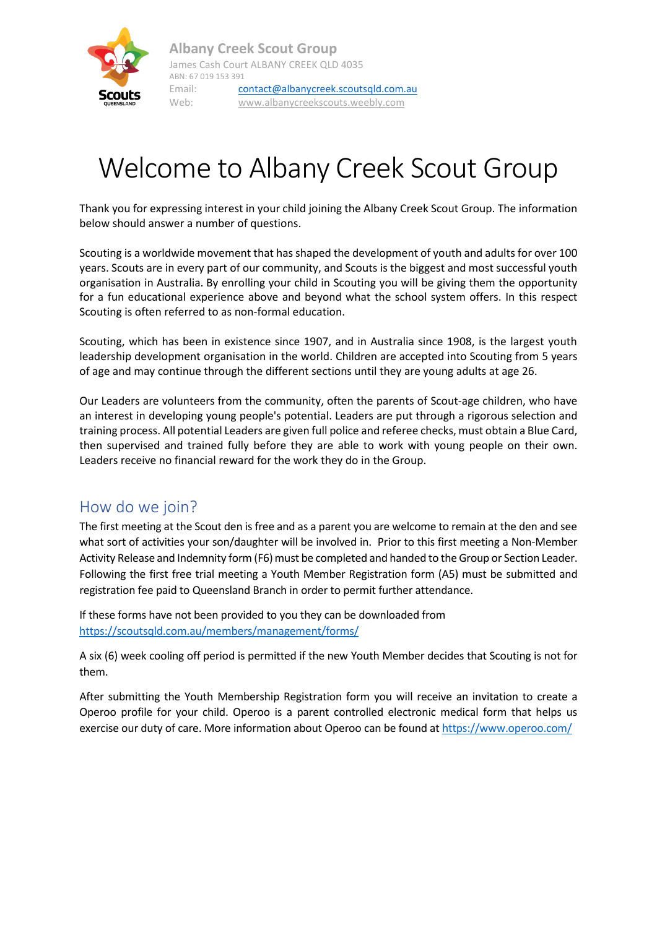

# Welcome to Albany Creek Scout Group

Thank you for expressing interest in your child joining the Albany Creek Scout Group. The information below should answer a number of questions.

Scouting is a worldwide movement that has shaped the development of youth and adults for over 100 years. Scouts are in every part of our community, and Scouts is the biggest and most successful youth organisation in Australia. By enrolling your child in Scouting you will be giving them the opportunity for a fun educational experience above and beyond what the school system offers. In this respect Scouting is often referred to as non-formal education.

Scouting, which has been in existence since 1907, and in Australia since 1908, is the largest youth leadership development organisation in the world. Children are accepted into Scouting from 5 years of age and may continue through the different sections until they are young adults at age 26.

Our Leaders are volunteers from the community, often the parents of Scout-age children, who have an interest in developing young people's potential. Leaders are put through a rigorous selection and training process. All potential Leaders are given full police and referee checks, must obtain a Blue Card, then supervised and trained fully before they are able to work with young people on their own. Leaders receive no financial reward for the work they do in the Group.

## How do we join?

The first meeting at the Scout den is free and as a parent you are welcome to remain at the den and see what sort of activities your son/daughter will be involved in. Prior to this first meeting a Non-Member Activity Release and Indemnity form (F6) must be completed and handed to the Group or Section Leader. Following the first free trial meeting a Youth Member Registration form (A5) must be submitted and registration fee paid to Queensland Branch in order to permit further attendance.

If these forms have not been provided to you they can be downloaded from <https://scoutsqld.com.au/members/management/forms/>

A six (6) week cooling off period is permitted if the new Youth Member decides that Scouting is not for them.

After submitting the Youth Membership Registration form you will receive an invitation to create a Operoo profile for your child. Operoo is a parent controlled electronic medical form that helps us exercise our duty of care. More information about Operoo can be found a[t https://www.operoo.com/](https://www.operoo.com/)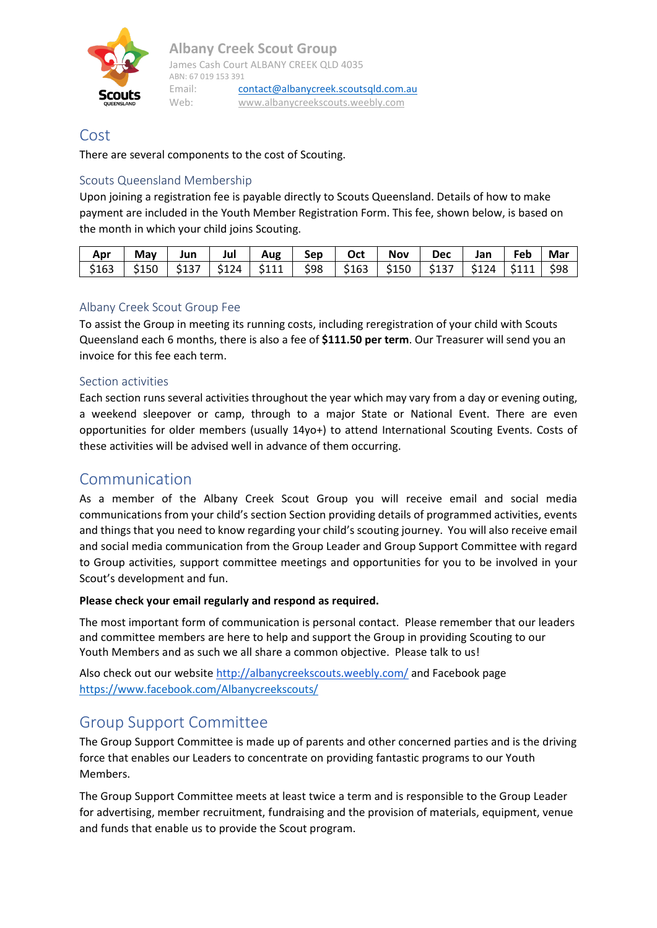

## Cost

There are several components to the cost of Scouting.

#### Scouts Queensland Membership

Upon joining a registration fee is payable directly to Scouts Queensland. Details of how to make payment are included in the Youth Member Registration Form. This fee, shown below, is based on the month in which your child joins Scouting.

| Apr                                                                                         | May I | Jun | Jul   Aug   Sep | Oct | Nov | Dec Jan Feb Mar |  |
|---------------------------------------------------------------------------------------------|-------|-----|-----------------|-----|-----|-----------------|--|
| \$163   \$150   \$137   \$124   \$111   \$98   \$163   \$150   \$137   \$124   \$111   \$98 |       |     |                 |     |     |                 |  |

#### Albany Creek Scout Group Fee

To assist the Group in meeting its running costs, including reregistration of your child with Scouts Queensland each 6 months, there is also a fee of **\$111.50 per term**. Our Treasurer will send you an invoice for this fee each term.

#### Section activities

Each section runs several activities throughout the year which may vary from a day or evening outing, a weekend sleepover or camp, through to a major State or National Event. There are even opportunities for older members (usually 14yo+) to attend International Scouting Events. Costs of these activities will be advised well in advance of them occurring.

### Communication

As a member of the Albany Creek Scout Group you will receive email and social media communications from your child's section Section providing details of programmed activities, events and things that you need to know regarding your child's scouting journey. You will also receive email and social media communication from the Group Leader and Group Support Committee with regard to Group activities, support committee meetings and opportunities for you to be involved in your Scout's development and fun.

#### **Please check your email regularly and respond as required.**

The most important form of communication is personal contact. Please remember that our leaders and committee members are here to help and support the Group in providing Scouting to our Youth Members and as such we all share a common objective. Please talk to us!

Also check out our website <http://albanycreekscouts.weebly.com/> and Facebook page <https://www.facebook.com/Albanycreekscouts/>

## Group Support Committee

The Group Support Committee is made up of parents and other concerned parties and is the driving force that enables our Leaders to concentrate on providing fantastic programs to our Youth Members.

The Group Support Committee meets at least twice a term and is responsible to the Group Leader for advertising, member recruitment, fundraising and the provision of materials, equipment, venue and funds that enable us to provide the Scout program.